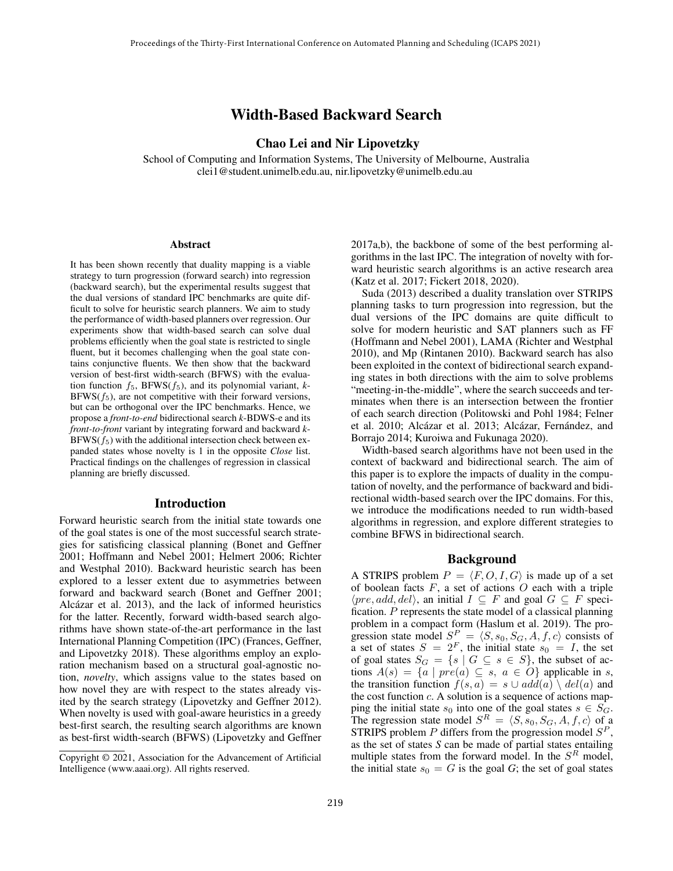# Width-Based Backward Search

# Chao Lei and Nir Lipovetzky

School of Computing and Information Systems, The University of Melbourne, Australia clei1@student.unimelb.edu.au, nir.lipovetzky@unimelb.edu.au

#### Abstract

It has been shown recently that duality mapping is a viable strategy to turn progression (forward search) into regression (backward search), but the experimental results suggest that the dual versions of standard IPC benchmarks are quite difficult to solve for heuristic search planners. We aim to study the performance of width-based planners over regression. Our experiments show that width-based search can solve dual problems efficiently when the goal state is restricted to single fluent, but it becomes challenging when the goal state contains conjunctive fluents. We then show that the backward version of best-first width-search (BFWS) with the evaluation function  $f_5$ , BFWS( $f_5$ ), and its polynomial variant,  $k$ - $BFWS(f_5)$ , are not competitive with their forward versions, but can be orthogonal over the IPC benchmarks. Hence, we propose a *front-to-end* bidirectional search *k*-BDWS-e and its *front-to-front* variant by integrating forward and backward *k*- $BFWS(f_5)$  with the additional intersection check between expanded states whose novelty is 1 in the opposite *Close* list. Practical findings on the challenges of regression in classical planning are briefly discussed.

### Introduction

Forward heuristic search from the initial state towards one of the goal states is one of the most successful search strategies for satisficing classical planning (Bonet and Geffner 2001; Hoffmann and Nebel 2001; Helmert 2006; Richter and Westphal 2010). Backward heuristic search has been explored to a lesser extent due to asymmetries between forward and backward search (Bonet and Geffner 2001; Alcázar et al. 2013), and the lack of informed heuristics for the latter. Recently, forward width-based search algorithms have shown state-of-the-art performance in the last International Planning Competition (IPC) (Frances, Geffner, and Lipovetzky 2018). These algorithms employ an exploration mechanism based on a structural goal-agnostic notion, *novelty*, which assigns value to the states based on how novel they are with respect to the states already visited by the search strategy (Lipovetzky and Geffner 2012). When novelty is used with goal-aware heuristics in a greedy best-first search, the resulting search algorithms are known as best-first width-search (BFWS) (Lipovetzky and Geffner 2017a,b), the backbone of some of the best performing algorithms in the last IPC. The integration of novelty with forward heuristic search algorithms is an active research area (Katz et al. 2017; Fickert 2018, 2020).

Suda (2013) described a duality translation over STRIPS planning tasks to turn progression into regression, but the dual versions of the IPC domains are quite difficult to solve for modern heuristic and SAT planners such as FF (Hoffmann and Nebel 2001), LAMA (Richter and Westphal 2010), and Mp (Rintanen 2010). Backward search has also been exploited in the context of bidirectional search expanding states in both directions with the aim to solve problems "meeting-in-the-middle", where the search succeeds and terminates when there is an intersection between the frontier of each search direction (Politowski and Pohl 1984; Felner et al. 2010; Alcázar et al. 2013; Alcázar, Fernández, and Borrajo 2014; Kuroiwa and Fukunaga 2020).

Width-based search algorithms have not been used in the context of backward and bidirectional search. The aim of this paper is to explore the impacts of duality in the computation of novelty, and the performance of backward and bidirectional width-based search over the IPC domains. For this, we introduce the modifications needed to run width-based algorithms in regression, and explore different strategies to combine BFWS in bidirectional search.

### Background

A STRIPS problem  $P = \langle F, O, I, G \rangle$  is made up of a set of boolean facts  $F$ , a set of actions  $O$  each with a triple  $\langle pre, add, del \rangle$ , an initial  $I \subseteq F$  and goal  $G \subseteq F$  specification. P represents the state model of a classical planning problem in a compact form (Haslum et al. 2019). The progression state model  $S_{-}^{P} = \langle S, s_0, S_G, A, f, c \rangle$  consists of a set of states  $S = 2<sup>F</sup>$ , the initial state  $s_0 = I$ , the set of goal states  $S_G = \{s \mid G \subseteq s \in S\}$ , the subset of actions  $A(s) = \{a \mid pre(a) \subseteq s, a \in O\}$  applicable in s, the transition function  $f(s, a) = s \cup add(a) \setminus del(a)$  and the cost function  $c$ . A solution is a sequence of actions mapping the initial state  $s_0$  into one of the goal states  $s \in S_G$ . The regression state model  $S<sup>R</sup> = \langle S, s_0, S_G, A, f, c \rangle$  of a STRIPS problem  $P$  differs from the progression model  $S^P$ , as the set of states *S* can be made of partial states entailing multiple states from the forward model. In the  $S<sup>R</sup>$  model, the initial state  $s_0 = G$  is the goal *G*; the set of goal states

Copyright © 2021, Association for the Advancement of Artificial Intelligence (www.aaai.org). All rights reserved.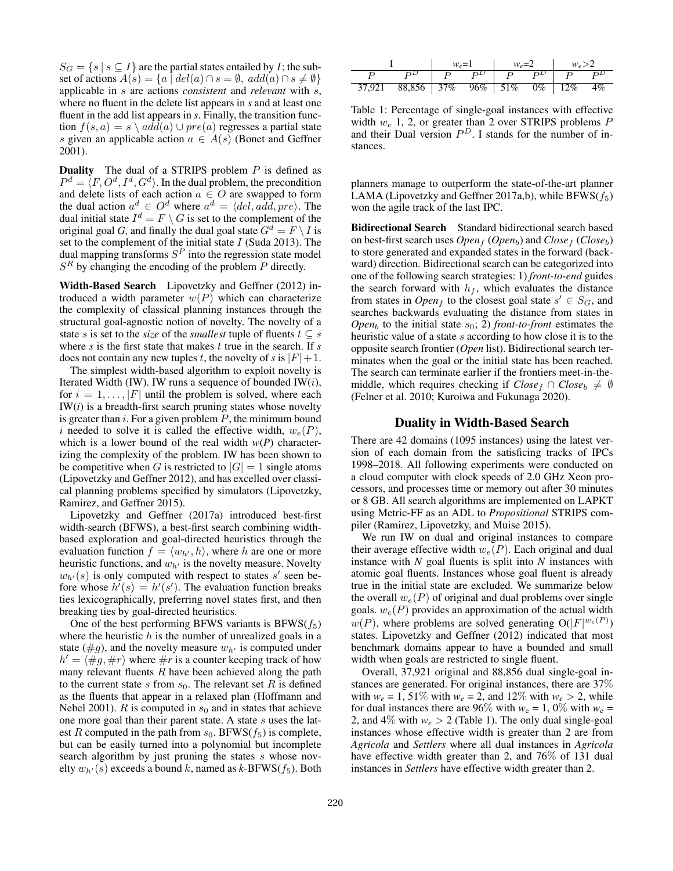$S_G = \{s \mid s \subseteq I\}$  are the partial states entailed by *I*; the subset of actions  $A(s) = \{a \mid del(a) \cap s = \emptyset, add(a) \cap s \neq \emptyset\}$ applicable in s are actions *consistent* and *relevant* with s, where no fluent in the delete list appears in *s* and at least one fluent in the add list appears in *s*. Finally, the transition function  $f(s, a) = s \ \text{add}(a) \cup pre(a)$  regresses a partial state s given an applicable action  $a \in A(s)$  (Bonet and Geffner 2001).

**Duality** The dual of a STRIPS problem  $P$  is defined as  $P^d = \langle F, O^d, I^d, G^d \rangle$ . In the dual problem, the precondition and delete lists of each action  $a \in O$  are swapped to form the dual action  $a^d \in O^d$  where  $a^d = \langle del, add, pre \rangle$ . The dual initial state  $I^d = F \setminus G$  is set to the complement of the original goal *G*, and finally the dual goal state  $G^d = F \setminus I$  is set to the complement of the initial state  $I$  (Suda 2013). The dual mapping transforms  $S<sup>P</sup>$  into the regression state model  $S<sup>R</sup>$  by changing the encoding of the problem  $P$  directly.

Width-Based Search Lipovetzky and Geffner (2012) introduced a width parameter  $w(P)$  which can characterize the complexity of classical planning instances through the structural goal-agnostic notion of novelty. The novelty of a state s is set to the *size* of the *smallest* tuple of fluents  $t \subseteq s$ where *s* is the first state that makes *t* true in the search. If *s* does not contain any new tuples t, the novelty of s is  $|F|+1$ .

The simplest width-based algorithm to exploit novelty is Iterated Width (IW). IW runs a sequence of bounded IW $(i)$ , for  $i = 1, \ldots, |F|$  until the problem is solved, where each IW(*i*) is a breadth-first search pruning states whose novelty is greater than  $i$ . For a given problem  $P$ , the minimum bound i needed to solve it is called the effective width,  $w_e(P)$ , which is a lower bound of the real width  $w(P)$  characterizing the complexity of the problem. IW has been shown to be competitive when G is restricted to  $|G| = 1$  single atoms (Lipovetzky and Geffner 2012), and has excelled over classical planning problems specified by simulators (Lipovetzky, Ramirez, and Geffner 2015).

Lipovetzky and Geffner (2017a) introduced best-first width-search (BFWS), a best-first search combining widthbased exploration and goal-directed heuristics through the evaluation function  $f = \langle w_{h'}, h \rangle$ , where h are one or more heuristic functions, and  $w_{h'}$  is the novelty measure. Novelty  $w_{h'}(s)$  is only computed with respect to states s' seen before whose  $h'(s) = h'(s')$ . The evaluation function breaks ties lexicographically, preferring novel states first, and then breaking ties by goal-directed heuristics.

One of the best performing BFWS variants is  $BFWS(f_5)$ where the heuristic  $h$  is the number of unrealized goals in a state ( $\#g$ ), and the novelty measure  $w_{h'}$  is computed under  $h' = \langle \#g, \#r \rangle$  where  $\#r$  is a counter keeping track of how many relevant fluents  $R$  have been achieved along the path to the current state s from  $s_0$ . The relevant set R is defined as the fluents that appear in a relaxed plan (Hoffmann and Nebel 2001). R is computed in  $s_0$  and in states that achieve one more goal than their parent state. A state  $s$  uses the latest R computed in the path from  $s_0$ . BFWS( $f_5$ ) is complete, but can be easily turned into a polynomial but incomplete search algorithm by just pruning the states s whose novelty  $w_{h'}(s)$  exceeds a bound k, named as  $k$ -BFWS( $f_5$ ). Both

|                                                           | $w_e = 1$ | $w_e=2$ | $ w_e>2$ |  |  |
|-----------------------------------------------------------|-----------|---------|----------|--|--|
| $P^D$   $P$ $P^D$   $P$ $P^D$   $P$ $P^D$                 |           |         |          |  |  |
| $37,921$ $88,856$ $37\%$ $96\%$ $51\%$ $0\%$ $12\%$ $4\%$ |           |         |          |  |  |

Table 1: Percentage of single-goal instances with effective width  $w_e$  1, 2, or greater than 2 over STRIPS problems  $P$ and their Dual version  $P<sup>D</sup>$ . I stands for the number of instances.

planners manage to outperform the state-of-the-art planner LAMA (Lipovetzky and Geffner 2017a,b), while BFWS( $f_5$ ) won the agile track of the last IPC.

Bidirectional Search Standard bidirectional search based on best-first search uses  $Open_f (Open_b)$  and  $Close_f (Close_b)$ to store generated and expanded states in the forward (backward) direction. Bidirectional search can be categorized into one of the following search strategies: 1) *front-to-end* guides the search forward with  $h_f$ , which evaluates the distance from states in *Open<sub>f</sub>* to the closest goal state  $s' \in S_G$ , and searches backwards evaluating the distance from states in *Open*<sub>b</sub> to the initial state  $s_0$ ; 2) *front-to-front* estimates the heuristic value of a state s according to how close it is to the opposite search frontier (*Open* list). Bidirectional search terminates when the goal or the initial state has been reached. The search can terminate earlier if the frontiers meet-in-themiddle, which requires checking if  $Close<sub>f</sub> \cap Close<sub>b</sub> \neq \emptyset$ (Felner et al. 2010; Kuroiwa and Fukunaga 2020).

#### Duality in Width-Based Search

There are 42 domains (1095 instances) using the latest version of each domain from the satisficing tracks of IPCs 1998–2018. All following experiments were conducted on a cloud computer with clock speeds of 2.0 GHz Xeon processors, and processes time or memory out after 30 minutes or 8 GB. All search algorithms are implemented on LAPKT using Metric-FF as an ADL to *Propositional* STRIPS compiler (Ramirez, Lipovetzky, and Muise 2015).

We run IW on dual and original instances to compare their average effective width  $w_e(P)$ . Each original and dual instance with *N* goal fluents is split into *N* instances with atomic goal fluents. Instances whose goal fluent is already true in the initial state are excluded. We summarize below the overall  $w_e(P)$  of original and dual problems over single goals.  $w_e(P)$  provides an approximation of the actual width  $w(P)$ , where problems are solved generating  $O(|F|^{w_e(P)})$ states. Lipovetzky and Geffner (2012) indicated that most benchmark domains appear to have a bounded and small width when goals are restricted to single fluent.

Overall, 37,921 original and 88,856 dual single-goal instances are generated. For original instances, there are 37% with  $w_e = 1$ , 51% with  $w_e = 2$ , and 12% with  $w_e > 2$ , while for dual instances there are 96% with  $w_e = 1$ , 0% with  $w_e =$ 2, and  $4\%$  with  $w_e > 2$  (Table 1). The only dual single-goal instances whose effective width is greater than 2 are from *Agricola* and *Settlers* where all dual instances in *Agricola* have effective width greater than 2, and 76% of 131 dual instances in *Settlers* have effective width greater than 2.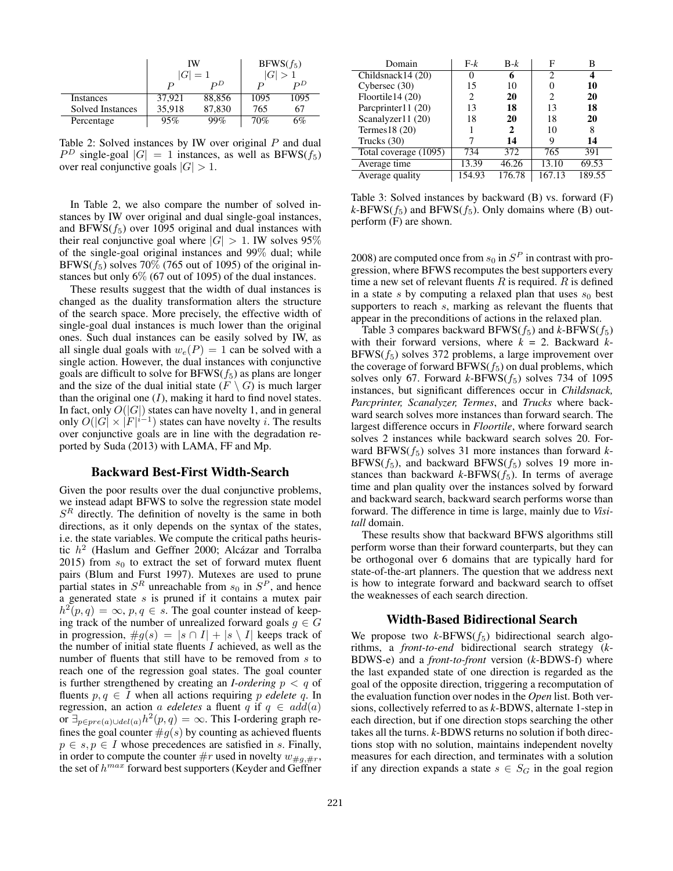|                         | IW               | $ G =1$                              | $BFWS(f_5)$ |                 |  |  |
|-------------------------|------------------|--------------------------------------|-------------|-----------------|--|--|
|                         | $\boldsymbol{P}$ | $\nobreak{\color{blue}D}\nobreak{D}$ | P           | $\not{\!\!D}^D$ |  |  |
| Instances               | 37.921           | 88,856                               | 1095        | 1095            |  |  |
| <b>Solved Instances</b> | 35,918           | 87,830                               | 765         | 67              |  |  |
| Percentage              | 95%              | 99%                                  | 70%         | 5%              |  |  |

Table 2: Solved instances by IW over original  $P$  and dual  $P^D$  single-goal  $|G| = 1$  instances, as well as BFWS( $f_5$ ) over real conjunctive goals  $|G| > 1$ .

In Table 2, we also compare the number of solved instances by IW over original and dual single-goal instances, and BFWS $(f_5)$  over 1095 original and dual instances with their real conjunctive goal where  $|G| > 1$ . IW solves 95% of the single-goal original instances and 99% dual; while BFWS( $f_5$ ) solves 70% (765 out of 1095) of the original instances but only 6% (67 out of 1095) of the dual instances.

These results suggest that the width of dual instances is changed as the duality transformation alters the structure of the search space. More precisely, the effective width of single-goal dual instances is much lower than the original ones. Such dual instances can be easily solved by IW, as all single dual goals with  $w_e(P) = 1$  can be solved with a single action. However, the dual instances with conjunctive goals are difficult to solve for  $BFWS(f_5)$  as plans are longer and the size of the dual initial state  $(F \setminus G)$  is much larger than the original one  $(I)$ , making it hard to find novel states. In fact, only  $O(|G|)$  states can have novelty 1, and in general only  $O(|G| \times |F|^{i-1})$  states can have novelty i. The results over conjunctive goals are in line with the degradation reported by Suda (2013) with LAMA, FF and Mp.

## Backward Best-First Width-Search

Given the poor results over the dual conjunctive problems, we instead adapt BFWS to solve the regression state model  $S<sup>R</sup>$  directly. The definition of novelty is the same in both directions, as it only depends on the syntax of the states, i.e. the state variables. We compute the critical paths heuristic  $h^2$  (Haslum and Geffner 2000; Alcázar and Torralba 2015) from  $s_0$  to extract the set of forward mutex fluent pairs (Blum and Furst 1997). Mutexes are used to prune partial states in  $S<sup>R</sup>$  unreachable from  $s<sub>0</sub>$  in  $S<sup>P</sup>$ , and hence a generated state  $s$  is pruned if it contains a mutex pair  $h^2(p,q) = \infty$ ,  $p, q \in s$ . The goal counter instead of keeping track of the number of unrealized forward goals  $g \in G$ in progression,  $\#g(s) = |s \cap I| + |s \setminus I|$  keeps track of the number of initial state fluents  $I$  achieved, as well as the number of fluents that still have to be removed from s to reach one of the regression goal states. The goal counter is further strengthened by creating an *I-ordering*  $p < q$  of fluents  $p, q \in I$  when all actions requiring p *edelete* q. In regression, an action a *edeletes* a fluent q if  $q \in add(a)$ or  $\exists_{p \in pre(a) \cup del(a)} h^2(p, q) = \infty$ . This I-ordering graph refines the goal counter  $\#g(s)$  by counting as achieved fluents  $p \in s, p \in I$  whose precedences are satisfied in s. Finally, in order to compute the counter  $\#r$  used in novelty  $w_{\#q, \#r}$ , the set of  $h^{max}$  forward best supporters (Keyder and Geffner

| Domain                | $F-k$  | $B-k$        | F              | в      |  |
|-----------------------|--------|--------------|----------------|--------|--|
| Childsnack14 (20)     |        | 6            | $\mathfrak{D}$ |        |  |
| Cybersec (30)         | 15     | 10           |                | 10     |  |
| Floortile14 (20)      | 2      | 20           | 2              | 20     |  |
| Parcprinter11 (20)    | 13     | 18           | 13             | 18     |  |
| Scanalyzer11 (20)     | 18     | 20           | 18             | 20     |  |
| Termes $18(20)$       |        | $\mathbf{2}$ | 10             | 8      |  |
| Trucks $(30)$         |        | 14           | 9              | 14     |  |
| Total coverage (1095) | 734    | 372          | 765            | 391    |  |
| Average time          | 13.39  | 46.26        | 13.10          | 69.53  |  |
| Average quality       | 154.93 | 176.78       | 167.13         | 189.55 |  |

Table 3: Solved instances by backward (B) vs. forward (F)  $k$ -BFWS( $f_5$ ) and BFWS( $f_5$ ). Only domains where (B) outperform (F) are shown.

2008) are computed once from  $s_0$  in  $S^P$  in contrast with progression, where BFWS recomputes the best supporters every time a new set of relevant fluents  $R$  is required.  $R$  is defined in a state s by computing a relaxed plan that uses  $s_0$  best supporters to reach s, marking as relevant the fluents that appear in the preconditions of actions in the relaxed plan.

Table 3 compares backward  $BFWS(f_5)$  and  $k$ -BFWS( $f_5$ ) with their forward versions, where *k* = 2. Backward *k*- $BFWS(f_5)$  solves 372 problems, a large improvement over the coverage of forward  $BFWS(f_5)$  on dual problems, which solves only 67. Forward  $k$ -BFWS( $f_5$ ) solves 734 of 1095 instances, but significant differences occur in *Childsnack, Parcprinter, Scanalyzer, Termes*, and *Trucks* where backward search solves more instances than forward search. The largest difference occurs in *Floortile*, where forward search solves 2 instances while backward search solves 20. Forward BFWS $(f_5)$  solves 31 more instances than forward *k*-BFWS( $f_5$ ), and backward BFWS( $f_5$ ) solves 19 more instances than backward  $k$ -BFWS $(f_5)$ . In terms of average time and plan quality over the instances solved by forward and backward search, backward search performs worse than forward. The difference in time is large, mainly due to *Visitall* domain.

These results show that backward BFWS algorithms still perform worse than their forward counterparts, but they can be orthogonal over 6 domains that are typically hard for state-of-the-art planners. The question that we address next is how to integrate forward and backward search to offset the weaknesses of each search direction.

#### Width-Based Bidirectional Search

We propose two  $k$ -BFWS( $f_5$ ) bidirectional search algorithms, a *front-to-end* bidirectional search strategy (*k*-BDWS-e) and a *front-to-front* version (*k*-BDWS-f) where the last expanded state of one direction is regarded as the goal of the opposite direction, triggering a recomputation of the evaluation function over nodes in the *Open* list. Both versions, collectively referred to as *k*-BDWS, alternate 1-step in each direction, but if one direction stops searching the other takes all the turns. *k*-BDWS returns no solution if both directions stop with no solution, maintains independent novelty measures for each direction, and terminates with a solution if any direction expands a state  $s \in S_G$  in the goal region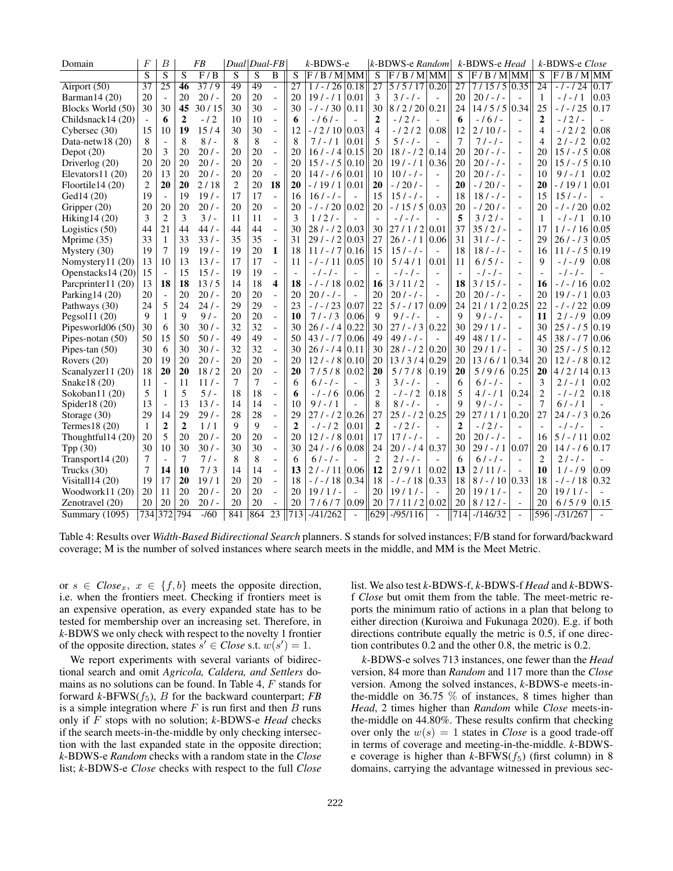| Domain             | F               | $\boldsymbol{B}$         |                | <b>FB</b>        | Dual Dual-FB   |                |                          |                 | $k$ -BDWS-e |                          |                 | k-BDWS-e Random |                          |                 | k-BDWS-e Head   |                          |                         | k-BDWS-e Close          |                |
|--------------------|-----------------|--------------------------|----------------|------------------|----------------|----------------|--------------------------|-----------------|-------------|--------------------------|-----------------|-----------------|--------------------------|-----------------|-----------------|--------------------------|-------------------------|-------------------------|----------------|
|                    | $\overline{s}$  | $\overline{S}$           | S              | $\overline{F/B}$ | $\overline{S}$ | $\overline{S}$ | $\overline{B}$           | S               | $F/B/M$ MM  |                          | $\overline{s}$  | $F/B/M$ MM      |                          | $\overline{s}$  | $F/B/M$ MM      |                          | $\overline{\mathbf{s}}$ | F/B/M                   | MM             |
| Airport (50)       | $\overline{37}$ | $\overline{25}$          | 46             | $\frac{37}{9}$   | 49             | 49             | $\overline{a}$           | $\overline{27}$ | $1/-/26$    | 0.18                     | $\overline{27}$ | 5/5/17          | $ 0.20\rangle$           | $\overline{27}$ | $7/15/5$ 0.35   |                          | $\overline{24}$         | $-1 - 124$              | 0.17           |
| Barman14 (20)      | 20              | $\overline{\phantom{a}}$ | 20             | 20/              | 20             | 20             | $\overline{a}$           | 20              | $19/ - 11$  | 0.01                     | 3               | $31 - 1 -$      | $\overline{a}$           | 20              | $20/ - 1$       |                          | 1                       | - / - / 1               | 0.03           |
| Blocks World (50)  | 30              | 30                       | 45             | 30/15            | 30             | 30             | $\frac{1}{2}$            | 30              | $-1 - 130$  | 0.11                     | 30              | 8/2/20          | 0.21                     | 24              | $14/5/5$ 0.34   |                          | 25                      | $-1 - 125$              | 0.17           |
| Childsnack14 (20)  |                 | 6                        | $\overline{2}$ | $-12$            | 10             | 10             | $\overline{a}$           | 6               | $-161-$     |                          | 2               | $-121-$         |                          | 6               | $-161-$         |                          | $\overline{2}$          | $-121-$                 |                |
| Cybersec (30)      | 15              | 10                       | 19             | 15/4             | 30             | 30             | $\overline{a}$           | 12              | $-12/10$    | 0.03                     | $\overline{4}$  | $-1212$         | 0.08                     | 12              | $2/10/-$        | $\overline{\phantom{a}}$ | $\overline{4}$          | $-1212$                 | 0.08           |
| Data-netw18 $(20)$ | 8               | $\overline{\phantom{a}}$ | 8              | $8/$ -           | 8              | 8              | $\overline{a}$           | 8               | $71 - 11$   | 0.01                     | 5               | $51 - 1 -$      |                          | 7               | $71 - 1 -$      | $\overline{a}$           | $\overline{4}$          | $21 - 12$               | 0.02           |
| Depot $(20)$       | 20              | 3                        | 20             | 20/              | 20             | 20             | $\overline{a}$           | 20              | $16/ - 14$  | 0.15                     | 20              | $18/ - 12$      | 0.14                     | 20              | $20/ - 1 -$     | $\blacksquare$           | 20                      | $15/ - 15$              | 0.08           |
| Driverlog (20)     | 20              | 20                       | 20             | 20/              | 20             | 20             | $\frac{1}{2}$            | 20              | $15/ - 15$  | 0.10                     | 20              | $19/ - 11$      | 0.36                     | 20              | $201 - 1 -$     | $\frac{1}{2}$            | 20                      | $15/ - 15$              | 0.10           |
| Elevators $11(20)$ | 20              | 13                       | 20             | $20/$ -          | 20             | 20             | $\overline{\phantom{a}}$ | 20              | $14/-/6$    | 0.01                     | 10              | $10/-/$         | $\overline{a}$           | 20              | $20/ - 1 -$     | $\overline{\phantom{a}}$ | 10                      | $9/ - 11$               | 0.02           |
| Floortile14 (20)   | $\overline{2}$  | 20                       | 20             | 2/18             | 2              | 20             | 18                       | 20              | $-11911$    | 0.01                     | 20              | $-1201-$        | $\overline{a}$           | 20              | $-1201-$        | $\blacksquare$           | 20                      | $-11911$                | 0.01           |
| Ged14 (20)         | 19              | $\overline{\phantom{a}}$ | 19             | 19/              | 17             | 17             | $\overline{\phantom{0}}$ | 16              | $16/-/$     | $\equiv$                 | 15              | $15/ - 1 -$     | $\overline{a}$           | 18              | $18/ - 1 -$     | $\overline{a}$           | 15                      | $151 - 1$               |                |
| Gripper (20)       | 20              | 20                       | 20             | 20/              | 20             | 20             | $\overline{a}$           | 20              | $-1 - 120$  | 0.02                     | 20              | $-115/5$        | 0.03                     | 20              | $-1201-$        | $\overline{a}$           | 20                      | $-1 - 120$              | 0.02           |
| Hiking14 (20)      | 3               | $\overline{2}$           | 3              | 3/1              | 11             | 11             | $\frac{1}{2}$            | 3               | $1/2$ / -   | $\overline{a}$           |                 | $-$ / $-$ / $-$ |                          | 5               | $3/2/-$         | $\frac{1}{2}$            | 1                       | $\prime$ 1<br>$-$ / $-$ | 0.10           |
| Logistics $(50)$   | 44              | 21                       | 44             | 44/              | 44             | 44             | $\qquad \qquad \Box$     | 30              | $28/ - 12$  | 0.03                     | 30              | 27/1/2          | 0.01                     | 37              | $35/2$ /-       | $\blacksquare$           | 17                      | $1/-/16$                | 0.05           |
| Mprime (35)        | 33              | 1                        | 33             | 33/              | 35             | 35             | $\frac{1}{2}$            | 31              | $29/ - 12$  | 0.03                     | 27              | $26/ - 11$      | 0.06                     | 31              | $31/-/$         | $\overline{\phantom{a}}$ | 29                      | $26/ - 13$              | 0.05           |
| Mystery $(30)$     | 19              | 7                        | 19             | 19/              | 19             | 20             | $\mathbf{1}$             | 18              | $111 - 17$  | 0.16                     | 15              | $15 / - / -$    | $\overline{a}$           | 18              | $18/-/$         | $\blacksquare$           | 16                      | $11 / - 15$             | 0.19           |
| Nomystery11 (20)   | 13              | 10                       | 13             | 13/              | 17             | 17             | $\overline{a}$           | 11              | $-1 - 11$   | 0.05                     | 10              | 5/4/1           | 0.01                     | 11              | $6/5/-$         | $\overline{a}$           | 9                       | $-1 - 19$               | 0.08           |
| Openstacks14 (20)  | 15              | $\overline{\phantom{a}}$ | 15             | 15/              | 19             | 19             | $\overline{a}$           |                 | $-1 - 1 -$  |                          |                 | $-1 - 1 -$      | $\overline{a}$           | $\bar{a}$       | $-1 - 1 -$      | $\overline{a}$           |                         | - / - / -               | $\overline{a}$ |
| Parcprinter11 (20) | 13              | 18                       | 18             | 13/5             | 14             | 18             | 4                        | 18              | $-1 - 18$   | 0.02                     | 16              | 3/11/2          | $\overline{\phantom{a}}$ | 18              | 3/15/           | $\overline{\phantom{a}}$ | 16                      | $-1 - 116$              | 0.02           |
| Parking $14(20)$   | 20              | $\blacksquare$           | 20             | 20/              | 20             | 20             | $\qquad \qquad \Box$     | 20              | $20/ - 1 -$ | $\overline{\phantom{a}}$ | 20              | $20/ - 1$       | $\overline{\phantom{a}}$ | 20              | $20/ - 1$       | $\overline{a}$           | 20                      | $19/ - 11$              | 0.03           |
| Pathways (30)      | 24              | 5                        | 24             | $24/ -$          | 29             | 29             | $\overline{a}$           | 23              | $-1 - 123$  | 0.07                     | 22              | $5 / - 17$      | 0.09                     | 24              | $21/1/2$ 0.25   |                          | 22                      | $-1 - 122$              | 0.09           |
| Pegsol11 (20)      | $\mathbf Q$     | $\mathbf{1}$             | 9              | 9/1              | 20             | 20             | $\overline{a}$           | 10              | $71 - 13$   | 0.06                     | 9               | $9/-/-$         |                          | 9               | $91 - 1 -$      | $\overline{a}$           | 11                      | $21 - 19$               | 0.09           |
| Pipesworld06 (50)  | 30              | 6                        | 30             | 30/              | 32             | 32             | $\frac{1}{2}$            | 30              | $26/ - 14$  | 0.22                     | 30              | $271 - 13$      | 0.22                     | 30              | $29/1/-$        | $\frac{1}{2}$            | 30                      | $251 - 15$              | 0.19           |
| Pipes-notan $(50)$ | 50              | 15                       | 50             | 50/              | 49             | 49             | $\frac{1}{2}$            | 50              | $431 - 17$  | 0.06                     | 49              | $491 - 1 -$     | $\blacksquare$           | 49              | $48/1/-$        | $\overline{\phantom{a}}$ | 45                      | $381 - 17$              | 0.06           |
| Pipes-tan $(50)$   | 30              | 6                        | 30             | $30/-$           | 32             | 32             | $\frac{1}{2}$            | 30              | $26/ - 14$  | 0.11                     | 30              | $28/ - 12$      | 0.20                     | 30              | $29/1/-$        | $\overline{\phantom{a}}$ | 30                      | $25/ - 15$              | 0.12           |
| Rovers $(20)$      | 20              | 19                       | 20             | $20/$ -          | 20             | 20             | $\overline{a}$           | 20              | $12 / - 18$ | 0.10                     | 20              | 13/3/4          | 0.29                     | 20              | $13/6/1$ 0.34   |                          | 20                      | $12/ - 18$              | 0.12           |
| Scanalyzer11 (20)  | 18              | 20                       | 20             | 18/2             | 20             | 20             | $\overline{a}$           | 20              | 7/5/8       | 0.02                     | 20              | 5/7/8           | 0.19                     | 20              | 5/9/6           | 0.25                     | 20                      | 4/2/14                  | 0.13           |
| Snake18 (20)       | 11              | $\overline{\phantom{a}}$ | 11             | 11/              | 7              | 7              | $\overline{a}$           | 6               | $61 - 1 -$  | $\overline{\phantom{a}}$ | 3               | $3/-/-$         | $\overline{a}$           | 6               | $61 - 1 -$      |                          | 3                       | $21 - 11$               | 0.02           |
| Sokoban11 (20)     | 5               | 1                        | 5              | 5/               | 18             | 18             | $\overline{\phantom{a}}$ | 6               | $-1 - 16$   | 0.06                     | 2               | -1-12           | 0.18                     | 5               | $4/-/1$         | 0.24                     | $\overline{2}$          | $-1-12$                 | 0.18           |
| Spider18 $(20)$    | 13              | $\overline{\phantom{a}}$ | 13             | 13/              | 14             | 14             | $\overline{a}$           | 10              | $9/ - 11$   |                          | 8               | $8/-/-$         |                          | 9               | $9/-/-$         |                          | 7                       | $6/ - 11$               |                |
| Storage (30)       | 29              | 14                       | 29             | 29/              | 28             | 28             | $\frac{1}{2}$            | 29              | $271 - 12$  | 0.26                     | 27              | $25/ - 12$      | 0.25                     | 29              | $27/1/1$   0.20 |                          | 27                      | $24 / - 13$             | 0.26           |
| Termes $18(20)$    | 1               | $\mathbf{2}$             | $\mathbf{2}$   | 1/1              | 9              | 9              | $\overline{a}$           | $\overline{2}$  | $-1-12$     | 0.01                     | $\mathbf{2}$    | $-121-$         | $\overline{a}$           | $\mathbf{2}$    | $-121-$         | $\equiv$                 |                         | $-1 - 1 -$              |                |
| Thoughtful14 (20)  | 20              | 5                        | 20             | 20/              | 20             | 20             | $\frac{1}{2}$            | 20              | $12/ - 18$  | 0.01                     | 17              | $17/ - 1 -$     | $\overline{a}$           | 20              | $20/ - 1 -$     | $\overline{\phantom{a}}$ | 16                      | $5/ - 11$               | 0.02           |
| Tpp (30)           | 30              | 10                       | 30             | $30/$ -          | 30             | 30             | $\frac{1}{2}$            | 30              | $24 / - 16$ | 0.08                     | 24              | $20/ - 14$      | 0.37                     | 30              | $29/ - 11/0.07$ |                          | 20                      | $14/ - 16$              | 0.17           |
| Transport $14(20)$ | 7               | $\overline{\phantom{a}}$ | 7              | $71-$            | 8              | 8              | $\overline{a}$           | 6               | $61 - 1 -$  |                          | $\overline{2}$  | $21 - 1 -$      | $\overline{a}$           | 6               | $61 - 1 -$      | $\overline{\phantom{a}}$ | $\overline{2}$          | $2$ / - / -             | $\overline{a}$ |
| Trucks (30)        | $\overline{7}$  | 14                       | 10             | 7/3              | 14             | 14             | $\overline{a}$           | 13              | $2/ - 11$   | 0.06                     | 12              | 2/9/1           | 0.02                     | 13              | $2/11/-$        | $\overline{\phantom{a}}$ | 10                      | $1/ - 19$               | 0.09           |
| Visital $114(20)$  | 19              | 17                       | 20             | 19/1             | 20             | 20             | $\overline{a}$           | 18              | $-1 - 18$   | 0.34                     | 18              | $-1 - 18$       | 0.33                     | 18              | $8/ - 10 0.33$  |                          | 18                      | $-1 - 18$               | 0.32           |
| Woodwork11 (20)    | 20              | 11                       | 20             | 20/              | 20             | 20             | $\overline{a}$           | 20              | $19/1/-$    | $\overline{\phantom{a}}$ | 20              | $19/1/-$        |                          | 20              | $19/1/-$        | $\equiv$                 | 20                      | 19/1/                   |                |
| Zenotravel (20)    | 20              | 20                       | 20             | 20/              | 20             | 20             |                          | 20              | 7/6/7       | 0.09                     | 20              | 7/11/2          | 0.02                     | 20              | 8/12/           |                          | 20                      | 6/5/9                   | 0.15           |
| Summary (1095)     | 734             | $\overline{372}$         | 794            | $-160$           | 841            | 864            | $\overline{23}$          | 713             | $-141/262$  | $\mathbf{r}$             | 629             | $-195/116$      | $\overline{\phantom{a}}$ | 714             | $-1146/32$      | $\bar{a}$                | 596                     | $-131/267$              |                |

Table 4: Results over *Width-Based Bidirectional Search* planners. S stands for solved instances; F/B stand for forward/backward coverage; M is the number of solved instances where search meets in the middle, and MM is the Meet Metric.

or  $s \in Close_x, x \in \{f, b\}$  meets the opposite direction, i.e. when the frontiers meet. Checking if frontiers meet is an expensive operation, as every expanded state has to be tested for membership over an increasing set. Therefore, in *k*-BDWS we only check with respect to the novelty 1 frontier of the opposite direction, states  $s' \in Close$  s.t.  $w(s') = 1$ .

We report experiments with several variants of bidirectional search and omit *Agricola, Caldera, and Settlers* domains as no solutions can be found. In Table 4, F stands for forward *k*-BFWS(f5), B for the backward counterpart; *FB* is a simple integration where  $F$  is run first and then  $B$  runs only if F stops with no solution; *k*-BDWS-e *Head* checks if the search meets-in-the-middle by only checking intersection with the last expanded state in the opposite direction; *k*-BDWS-e *Random* checks with a random state in the *Close* list; *k*-BDWS-e *Close* checks with respect to the full *Close* list. We also test *k*-BDWS-f, *k*-BDWS-f *Head* and *k*-BDWSf *Close* but omit them from the table. The meet-metric reports the minimum ratio of actions in a plan that belong to either direction (Kuroiwa and Fukunaga 2020). E.g. if both directions contribute equally the metric is 0.5, if one direction contributes 0.2 and the other 0.8, the metric is 0.2.

*k*-BDWS-e solves 713 instances, one fewer than the *Head* version, 84 more than *Random* and 117 more than the *Close* version. Among the solved instances, *k*-BDWS-e meets-inthe-middle on 36.75  $\%$  of instances, 8 times higher than *Head*, 2 times higher than *Random* while *Close* meets-inthe-middle on 44.80%. These results confirm that checking over only the  $w(s) = 1$  states in *Close* is a good trade-off in terms of coverage and meeting-in-the-middle. *k*-BDWSe coverage is higher than  $k$ -BFWS( $f_5$ ) (first column) in 8 domains, carrying the advantage witnessed in previous sec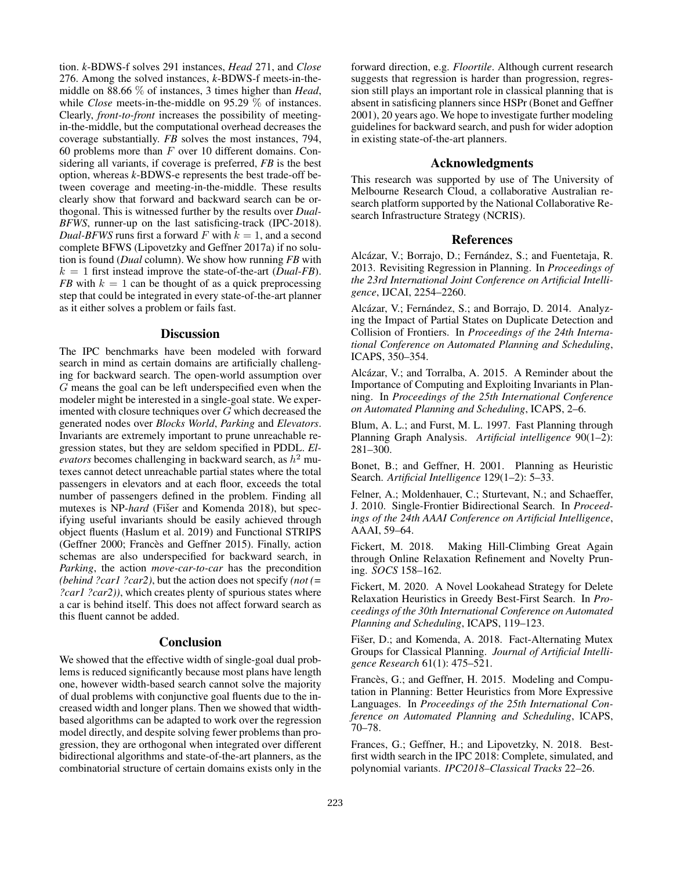tion. *k*-BDWS-f solves 291 instances, *Head* 271, and *Close* 276. Among the solved instances, *k*-BDWS-f meets-in-themiddle on 88.66 % of instances, 3 times higher than *Head*, while *Close* meets-in-the-middle on 95.29  $\%$  of instances. Clearly, *front-to-front* increases the possibility of meetingin-the-middle, but the computational overhead decreases the coverage substantially. *FB* solves the most instances, 794, 60 problems more than  $F$  over 10 different domains. Considering all variants, if coverage is preferred, *FB* is the best option, whereas *k*-BDWS-e represents the best trade-off between coverage and meeting-in-the-middle. These results clearly show that forward and backward search can be orthogonal. This is witnessed further by the results over *Dual-BFWS*, runner-up on the last satisficing-track (IPC-2018). *Dual-BFWS* runs first a forward F with  $k = 1$ , and a second complete BFWS (Lipovetzky and Geffner 2017a) if no solution is found (*Dual* column). We show how running *FB* with  $k = 1$  first instead improve the state-of-the-art (*Dual-FB*). *FB* with  $k = 1$  can be thought of as a quick preprocessing step that could be integrated in every state-of-the-art planner as it either solves a problem or fails fast.

### **Discussion**

The IPC benchmarks have been modeled with forward search in mind as certain domains are artificially challenging for backward search. The open-world assumption over G means the goal can be left underspecified even when the modeler might be interested in a single-goal state. We experimented with closure techniques over G which decreased the generated nodes over *Blocks World*, *Parking* and *Elevators*. Invariants are extremely important to prune unreachable regression states, but they are seldom specified in PDDL. *El-* $\vec{v}$  evators becomes challenging in backward search, as  $h^2$  mutexes cannot detect unreachable partial states where the total passengers in elevators and at each floor, exceeds the total number of passengers defined in the problem. Finding all mutexes is NP-*hard* (Fišer and Komenda 2018), but specifying useful invariants should be easily achieved through object fluents (Haslum et al. 2019) and Functional STRIPS (Geffner 2000; Francès and Geffner 2015). Finally, action schemas are also underspecified for backward search, in *Parking*, the action *move-car-to-car* has the precondition *(behind ?car1 ?car2)*, but the action does not specify *(not (= ?car1 ?car2))*, which creates plenty of spurious states where a car is behind itself. This does not affect forward search as this fluent cannot be added.

### **Conclusion**

We showed that the effective width of single-goal dual problems is reduced significantly because most plans have length one, however width-based search cannot solve the majority of dual problems with conjunctive goal fluents due to the increased width and longer plans. Then we showed that widthbased algorithms can be adapted to work over the regression model directly, and despite solving fewer problems than progression, they are orthogonal when integrated over different bidirectional algorithms and state-of-the-art planners, as the combinatorial structure of certain domains exists only in the

forward direction, e.g. *Floortile*. Although current research suggests that regression is harder than progression, regression still plays an important role in classical planning that is absent in satisficing planners since HSPr (Bonet and Geffner 2001), 20 years ago. We hope to investigate further modeling guidelines for backward search, and push for wider adoption in existing state-of-the-art planners.

### Acknowledgments

This research was supported by use of The University of Melbourne Research Cloud, a collaborative Australian research platform supported by the National Collaborative Research Infrastructure Strategy (NCRIS).

#### References

Alcázar, V.; Borrajo, D.; Fernández, S.; and Fuentetaja, R. 2013. Revisiting Regression in Planning. In *Proceedings of the 23rd International Joint Conference on Artificial Intelligence*, IJCAI, 2254–2260.

Alcázar, V.; Fernández, S.; and Borrajo, D. 2014. Analyzing the Impact of Partial States on Duplicate Detection and Collision of Frontiers. In *Proceedings of the 24th International Conference on Automated Planning and Scheduling*, ICAPS, 350–354.

Alcázar, V.; and Torralba, A. 2015. A Reminder about the Importance of Computing and Exploiting Invariants in Planning. In *Proceedings of the 25th International Conference on Automated Planning and Scheduling*, ICAPS, 2–6.

Blum, A. L.; and Furst, M. L. 1997. Fast Planning through Planning Graph Analysis. *Artificial intelligence* 90(1–2): 281–300.

Bonet, B.; and Geffner, H. 2001. Planning as Heuristic Search. *Artificial Intelligence* 129(1–2): 5–33.

Felner, A.; Moldenhauer, C.; Sturtevant, N.; and Schaeffer, J. 2010. Single-Frontier Bidirectional Search. In *Proceedings of the 24th AAAI Conference on Artificial Intelligence*, AAAI, 59–64.

Fickert, M. 2018. Making Hill-Climbing Great Again through Online Relaxation Refinement and Novelty Pruning. *SOCS* 158–162.

Fickert, M. 2020. A Novel Lookahead Strategy for Delete Relaxation Heuristics in Greedy Best-First Search. In *Proceedings of the 30th International Conference on Automated Planning and Scheduling*, ICAPS, 119–123.

Fišer, D.; and Komenda, A. 2018. Fact-Alternating Mutex Groups for Classical Planning. *Journal of Artificial Intelligence Research* 61(1): 475–521.

Francès, G.; and Geffner, H. 2015. Modeling and Computation in Planning: Better Heuristics from More Expressive Languages. In *Proceedings of the 25th International Conference on Automated Planning and Scheduling*, ICAPS, 70–78.

Frances, G.; Geffner, H.; and Lipovetzky, N. 2018. Bestfirst width search in the IPC 2018: Complete, simulated, and polynomial variants. *IPC2018–Classical Tracks* 22–26.